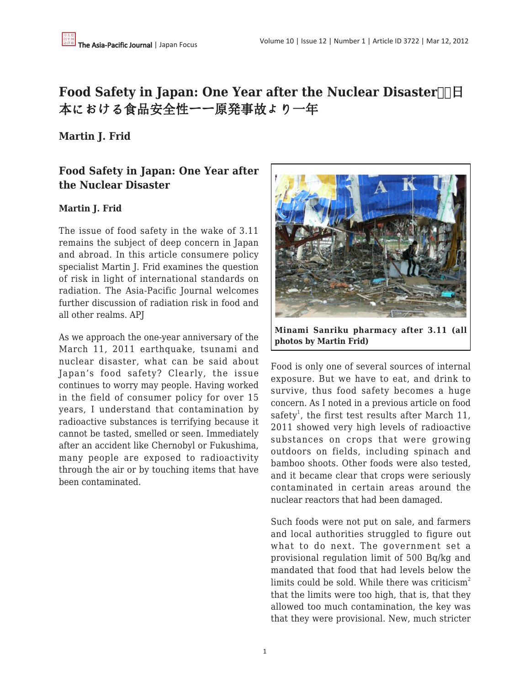# **Food Safety in Japan: One Year after the Nuclear Disaster** 本における食品安全性ーー原発事故より一年

### **Martin J. Frid**

## **Food Safety in Japan: One Year after the Nuclear Disaster**

#### **Martin J. Frid**

The issue of food safety in the wake of 3.11 remains the subject of deep concern in Japan and abroad. In this article consumere policy specialist Martin J. Frid examines the question of risk in light of international standards on radiation. The Asia-Pacific Journal welcomes further discussion of radiation risk in food and all other realms. APJ

As we approach the one-year anniversary of the March 11, 2011 earthquake, tsunami and nuclear disaster, what can be said about Japan's food safety? Clearly, the issue continues to worry may people. Having worked in the field of consumer policy for over 15 years, I understand that contamination by radioactive substances is terrifying because it cannot be tasted, smelled or seen. Immediately after an accident like Chernobyl or Fukushima, many people are exposed to radioactivity through the air or by touching items that have been contaminated.



**Minami Sanriku pharmacy after 3.11 (all photos by Martin Frid)**

Food is only one of several sources of internal exposure. But we have to eat, and drink to survive, thus food safety becomes a huge concern. As I noted in a previous article on food safety $^1$ , the first test results after March 11, 2011 showed very high levels of radioactive substances on crops that were growing outdoors on fields, including spinach and bamboo shoots. Other foods were also tested, and it became clear that crops were seriously contaminated in certain areas around the nuclear reactors that had been damaged.

Such foods were not put on sale, and farmers and local authorities struggled to figure out what to do next. The government set a provisional regulation limit of 500 Bq/kg and mandated that food that had levels below the limits could be sold. While there was criticism<sup>2</sup> that the limits were too high, that is, that they allowed too much contamination, the key was that they were provisional. New, much stricter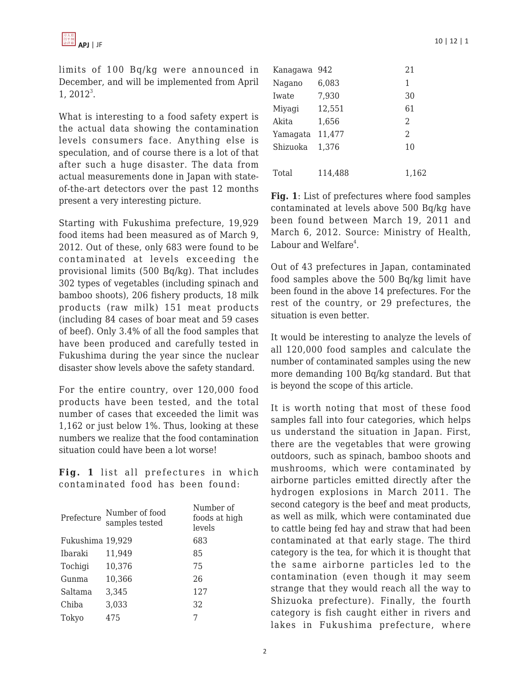limits of 100 Bq/kg were announced in December, and will be implemented from April  $1, 2012<sup>3</sup>$ .

What is interesting to a food safety expert is the actual data showing the contamination levels consumers face. Anything else is speculation, and of course there is a lot of that after such a huge disaster. The data from actual measurements done in Japan with stateof-the-art detectors over the past 12 months present a very interesting picture.

Starting with Fukushima prefecture, 19,929 food items had been measured as of March 9, 2012. Out of these, only 683 were found to be contaminated at levels exceeding the provisional limits (500 Bq/kg). That includes 302 types of vegetables (including spinach and bamboo shoots), 206 fishery products, 18 milk products (raw milk) 151 meat products (including 84 cases of boar meat and 59 cases of beef). Only 3.4% of all the food samples that have been produced and carefully tested in Fukushima during the year since the nuclear disaster show levels above the safety standard.

For the entire country, over 120,000 food products have been tested, and the total number of cases that exceeded the limit was 1,162 or just below 1%. Thus, looking at these numbers we realize that the food contamination situation could have been a lot worse!

**Fig. 1** list all prefectures in which contaminated food has been found:

| Prefecture       | Number of food<br>samples tested | Number of<br>foods at high<br>levels |
|------------------|----------------------------------|--------------------------------------|
| Fukushima 19,929 |                                  | 683                                  |
| Ibaraki          | 11,949                           | 85                                   |
| Tochigi          | 10,376                           | 75                                   |
| Gunma            | 10.366                           | 26                                   |
| Saltama          | 3.345                            | 127                                  |
| Chiba            | 3,033                            | 32                                   |
| Tokyo            | 475                              |                                      |

| Kanagawa 942 |        | 21 |
|--------------|--------|----|
| Nagano       | 6,083  | 1  |
| Iwate        | 7,930  | 30 |
| Miyagi       | 12,551 | 61 |
| Akita        | 1,656  | 2  |
| Yamagata     | 11,477 | 2  |
| Shizuoka     | 1.376  |    |

| Total | 114,488 | 1,162 |
|-------|---------|-------|

**Fig. 1**: List of prefectures where food samples contaminated at levels above 500 Bq/kg have been found between March 19, 2011 and March 6, 2012. Source: Ministry of Health, Labour and Welfare<sup>4</sup>.

Out of 43 prefectures in Japan, contaminated food samples above the 500 Bq/kg limit have been found in the above 14 prefectures. For the rest of the country, or 29 prefectures, the situation is even better.

It would be interesting to analyze the levels of all 120,000 food samples and calculate the number of contaminated samples using the new more demanding 100 Bq/kg standard. But that is beyond the scope of this article.

It is worth noting that most of these food samples fall into four categories, which helps us understand the situation in Japan. First, there are the vegetables that were growing outdoors, such as spinach, bamboo shoots and mushrooms, which were contaminated by airborne particles emitted directly after the hydrogen explosions in March 2011. The second category is the beef and meat products, as well as milk, which were contaminated due to cattle being fed hay and straw that had been contaminated at that early stage. The third category is the tea, for which it is thought that the same airborne particles led to the contamination (even though it may seem strange that they would reach all the way to Shizuoka prefecture). Finally, the fourth category is fish caught either in rivers and lakes in Fukushima prefecture, where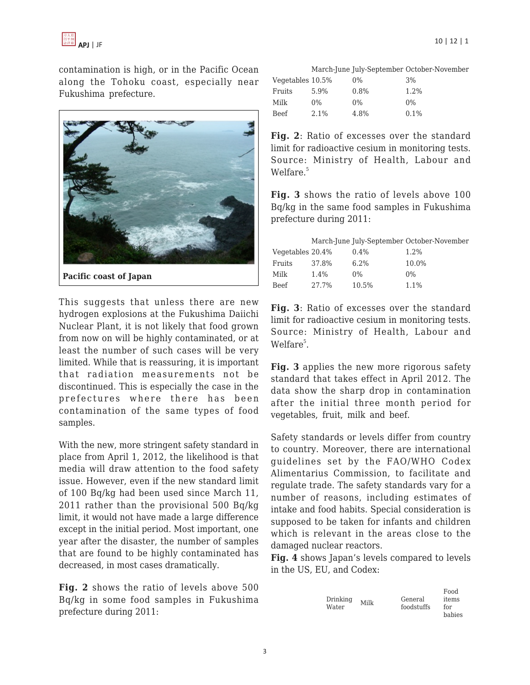

contamination is high, or in the Pacific Ocean along the Tohoku coast, especially near Fukushima prefecture.



This suggests that unless there are new hydrogen explosions at the Fukushima Daiichi Nuclear Plant, it is not likely that food grown from now on will be highly contaminated, or at least the number of such cases will be very limited. While that is reassuring, it is important that radiation measurements not be discontinued. This is especially the case in the prefectures where there has been contamination of the same types of food samples.

With the new, more stringent safety standard in place from April 1, 2012, the likelihood is that media will draw attention to the food safety issue. However, even if the new standard limit of 100 Bq/kg had been used since March 11, 2011 rather than the provisional 500 Bq/kg limit, it would not have made a large difference except in the initial period. Most important, one year after the disaster, the number of samples that are found to be highly contaminated has decreased, in most cases dramatically.

**Fig. 2** shows the ratio of levels above 500 Bq/kg in some food samples in Fukushima prefecture during 2011:

| Vegetables 10.5% |       | $0\%$   | 3%    |
|------------------|-------|---------|-------|
| Fruits           | 5.9%  | $0.8\%$ | 1.2%  |
| Milk             | $0\%$ | $0\%$   | $0\%$ |
| <b>Beef</b>      | 2.1%  | 4.8%    | 0.1%  |

**Fig. 2**: Ratio of excesses over the standard limit for radioactive cesium in monitoring tests. Source: Ministry of Health, Labour and Welfare.<sup>5</sup>

**Fig. 3** shows the ratio of levels above 100 Bq/kg in the same food samples in Fukushima prefecture during 2011:

|                  |       |         | March-June July-September October-November |
|------------------|-------|---------|--------------------------------------------|
| Vegetables 20.4% |       | $0.4\%$ | 1.2%                                       |
| Fruits           | 37.8% | 6.2%    | 10.0%                                      |
| Milk             | 1.4%  | $0\%$   | $0\%$                                      |
| Beef             | 27.7% | 10.5%   | 1.1%                                       |

**Fig. 3**: Ratio of excesses over the standard limit for radioactive cesium in monitoring tests. Source: Ministry of Health, Labour and  $Welfare<sup>5</sup>$ .

**Fig. 3** applies the new more rigorous safety standard that takes effect in April 2012. The data show the sharp drop in contamination after the initial three month period for vegetables, fruit, milk and beef.

Safety standards or levels differ from country to country. Moreover, there are international guidelines set by the FAO/WHO Codex Alimentarius Commission, to facilitate and regulate trade. The safety standards vary for a number of reasons, including estimates of intake and food habits. Special consideration is supposed to be taken for infants and children which is relevant in the areas close to the damaged nuclear reactors.

**Fig. 4** shows Japan's levels compared to levels in the US, EU, and Codex:

| General<br>items<br>foodstuffs<br>for<br>babies |  |
|-------------------------------------------------|--|
|                                                 |  |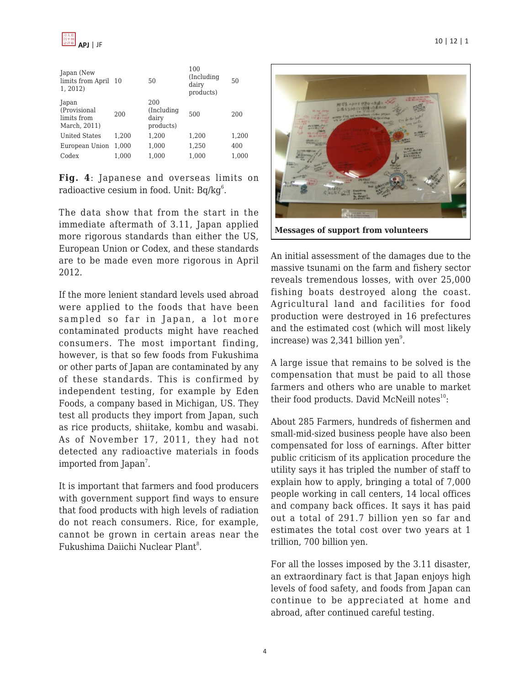

| Japan (New<br>limits from April 10<br>1.2012         |       | 50                                       | 100<br>(Including)<br>dairy<br>products) | 50    |
|------------------------------------------------------|-------|------------------------------------------|------------------------------------------|-------|
| Japan<br>(Provisional<br>limits from<br>March, 2011) | 200   | 200<br>(Including)<br>dairy<br>products) | 500                                      | 200   |
| <b>United States</b>                                 | 1,200 | 1,200                                    | 1,200                                    | 1,200 |
| European Union                                       | 1,000 | 1,000                                    | 1,250                                    | 400   |
| Codex                                                | 1,000 | 1,000                                    | 1,000                                    | 1,000 |
|                                                      |       |                                          |                                          |       |

**Fig. 4**: Japanese and overseas limits on radioactive cesium in food. Unit:  $Bq/kg<sup>6</sup>$ .

The data show that from the start in the immediate aftermath of 3.11, Japan applied more rigorous standards than either the US, European Union or Codex, and these standards are to be made even more rigorous in April 2012.

If the more lenient standard levels used abroad were applied to the foods that have been sampled so far in Japan, a lot more contaminated products might have reached consumers. The most important finding, however, is that so few foods from Fukushima or other parts of Japan are contaminated by any of these standards. This is confirmed by independent testing, for example by Eden Foods, a company based in Michigan, US. They test all products they import from Japan, such as rice products, shiitake, kombu and wasabi. As of November 17, 2011, they had not detected any radioactive materials in foods imported from Japan $^7$ .

It is important that farmers and food producers with government support find ways to ensure that food products with high levels of radiation do not reach consumers. Rice, for example, cannot be grown in certain areas near the Fukushima Daiichi Nuclear Plant<sup>8</sup>.



**Messages of support from volunteers**

An initial assessment of the damages due to the massive tsunami on the farm and fishery sector reveals tremendous losses, with over 25,000 fishing boats destroyed along the coast. Agricultural land and facilities for food production were destroyed in 16 prefectures and the estimated cost (which will most likely increase) was 2,341 billion yen $^9$ .

A large issue that remains to be solved is the compensation that must be paid to all those farmers and others who are unable to market their food products. David McNeill notes<sup>10</sup>:

About 285 Farmers, hundreds of fishermen and small-mid-sized business people have also been compensated for loss of earnings. After bitter public criticism of its application procedure the utility says it has tripled the number of staff to explain how to apply, bringing a total of 7,000 people working in call centers, 14 local offices and company back offices. It says it has paid out a total of 291.7 billion yen so far and estimates the total cost over two years at 1 trillion, 700 billion yen.

For all the losses imposed by the 3.11 disaster, an extraordinary fact is that Japan enjoys high levels of food safety, and foods from Japan can continue to be appreciated at home and abroad, after continued careful testing.